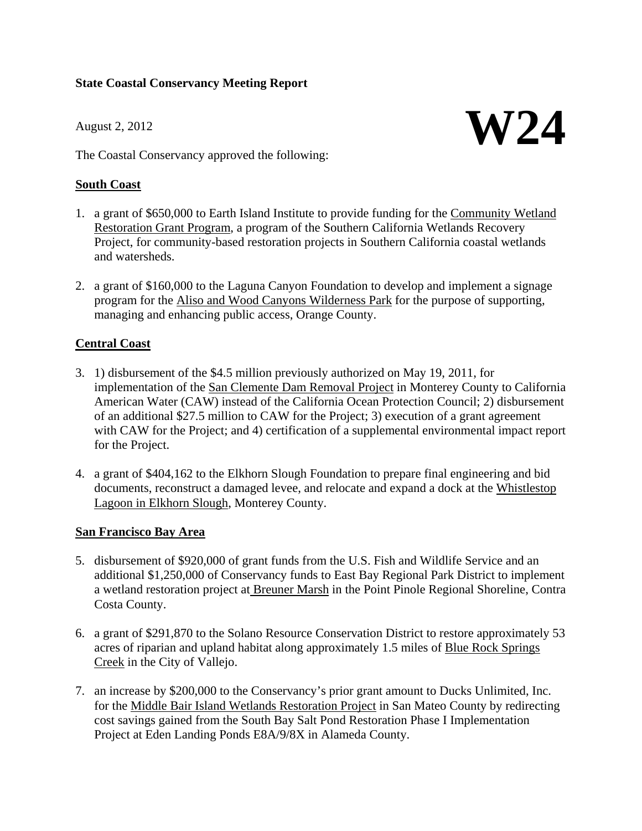# **State Coastal Conservancy Meeting Report**

**W24** August 2, 2012

The Coastal Conservancy approved the following:

## **South Coast**

- 1. a grant of \$650,000 to Earth Island Institute to provide funding for the Community Wetland Restoration Grant Program, a program of the Southern California Wetlands Recovery Project, for community-based restoration projects in Southern California coastal wetlands and watersheds.
- 2. a grant of \$160,000 to the Laguna Canyon Foundation to develop and implement a signage program for the Aliso and Wood Canyons Wilderness Park for the purpose of supporting, managing and enhancing public access, Orange County.

# **Central Coast**

- 3. 1) disbursement of the \$4.5 million previously authorized on May 19, 2011, for implementation of the San Clemente Dam Removal Project in Monterey County to California American Water (CAW) instead of the California Ocean Protection Council; 2) disbursement of an additional \$27.5 million to CAW for the Project; 3) execution of a grant agreement with CAW for the Project; and 4) certification of a supplemental environmental impact report for the Project.
- 4. a grant of \$404,162 to the Elkhorn Slough Foundation to prepare final engineering and bid documents, reconstruct a damaged levee, and relocate and expand a dock at the Whistlestop Lagoon in Elkhorn Slough, Monterey County.

### **San Francisco Bay Area**

- 5. disbursement of \$920,000 of grant funds from the U.S. Fish and Wildlife Service and an additional \$1,250,000 of Conservancy funds to East Bay Regional Park District to implement a wetland restoration project at Breuner Marsh in the Point Pinole Regional Shoreline, Contra Costa County.
- 6. a grant of \$291,870 to the Solano Resource Conservation District to restore approximately 53 acres of riparian and upland habitat along approximately 1.5 miles of Blue Rock Springs Creek in the City of Vallejo.
- 7. an increase by \$200,000 to the Conservancy's prior grant amount to Ducks Unlimited, Inc. for the Middle Bair Island Wetlands Restoration Project in San Mateo County by redirecting cost savings gained from the South Bay Salt Pond Restoration Phase I Implementation Project at Eden Landing Ponds E8A/9/8X in Alameda County.